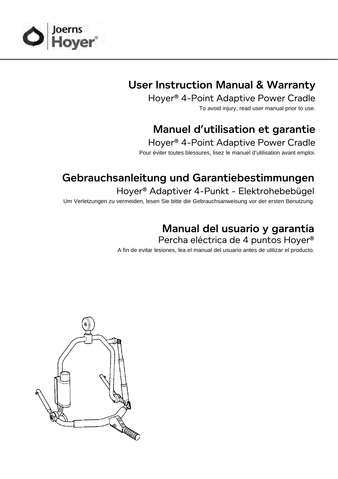

## User Instruction Manual & Warranty

Hoyer® 4-Point Adaptive Power Cradle

To avoid injury, read user manual prior to use.

# Manuel d'utilisation et garantie

Hoyer® 4-Point Adaptive Power Cradle Pour éviter toutes blessures, lisez le manuel d'utilisation avant emploi.

## Gebrauchsanleitung und Garantiebestimmungen

Hoyer® Adaptiver 4-Punkt - Elektrohebebügel Um Verletzungen zu vermeiden, lesen Sie bitte die Gebrauchsanweisung vor der ersten Benutzung.

### Manual del usuario y garantía

Percha eléctrica de 4 puntos Hoyer®

A fin de evitar lesiones, lea el manual del usuario antes de utilizar el producto.

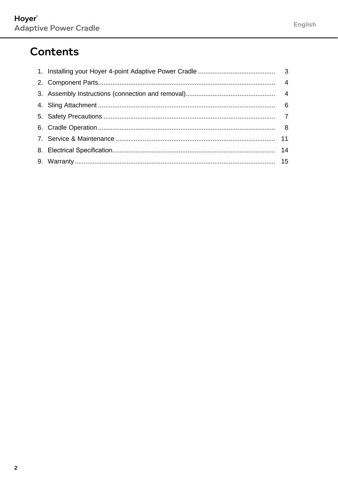## **Contents**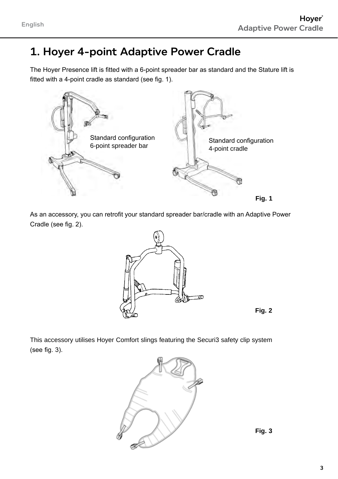# 1. Hoyer 4-point Adaptive Power Cradle

The Hoyer Presence lift is fitted with a 6-point spreader bar as standard and the Stature lift is fitted with a 4-point cradle as standard (see fig. 1).



As an accessory, you can retrofit your standard spreader bar/cradle with an Adaptive Power Cradle (see fig. 2).





This accessory utilises Hoyer Comfort slings featuring the Securi3 safety clip system (see fig. 3).



**Fig. 3**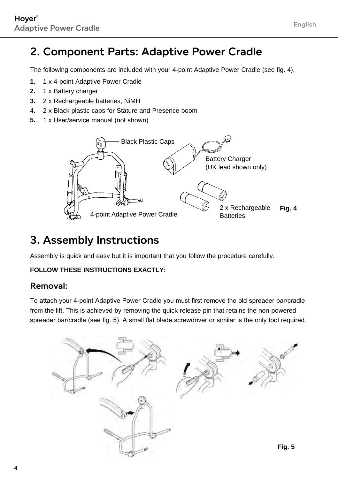### 2. Component Parts: Adaptive Power Cradle

The following components are included with your 4-point Adaptive Power Cradle (see fig. 4).

- **1.** 1 x 4-point Adaptive Power Cradle
- **2.** 1 x Battery charger
- **3.** 2 x Rechargeable batteries, NiMH
- 4. 2 x Black plastic caps for Stature and Presence boom
- **5.** 1 x User/service manual (not shown)



### 3. Assembly Instructions

Assembly is quick and easy but it is important that you follow the procedure carefully.

#### **FOLLOW THESE INSTRUCTIONS EXACTLY:**

#### Removal:

To attach your 4-point Adaptive Power Cradle you must first remove the old spreader bar/cradle from the lift. This is achieved by removing the quick-release pin that retains the non-powered spreader bar/cradle (see fig. 5). A small flat blade screwdriver or similar is the only tool required.

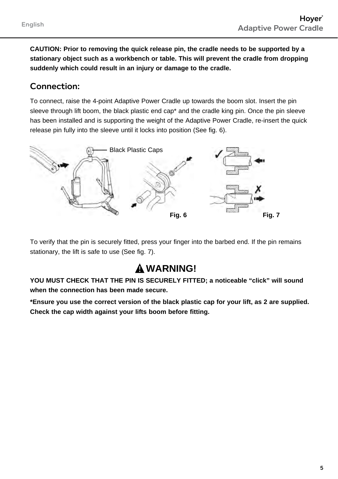**CAUTION: Prior to removing the quick release pin, the cradle needs to be supported by a stationary object such as a workbench or table. This will prevent the cradle from dropping suddenly which could result in an injury or damage to the cradle.** 

#### Connection:

To connect, raise the 4-point Adaptive Power Cradle up towards the boom slot. Insert the pin sleeve through lift boom, the black plastic end cap<sup>\*</sup> and the cradle king pin. Once the pin sleeve has been installed and is supporting the weight of the Adaptive Power Cradle, re-insert the quick release pin fully into the sleeve until it locks into position (See fig. 6).



To verify that the pin is securely fitted, press your finger into the barbed end. If the pin remains stationary, the lift is safe to use (See fig. 7).

### **warning!**

**YOU MUST CHECK THAT THE PIN IS SECURELY FITTED; a noticeable "click" will sound when the connection has been made secure.**

**\*Ensure you use the correct version of the black plastic cap for your lift, as 2 are supplied. Check the cap width against your lifts boom before fitting.**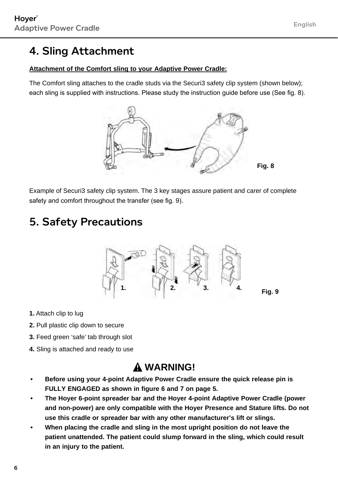## 4. Sling Attachment

#### **Attachment of the Comfort sling to your Adaptive Power Cradle:**

The Comfort sling attaches to the cradle studs via the Securi3 safety clip system (shown below); each sling is supplied with instructions. Please study the instruction guide before use (See fig. 8).



Example of Securi3 safety clip system. The 3 key stages assure patient and carer of complete safety and comfort throughout the transfer (see fig. 9).

# 5. Safety Precautions



- **1.** Attach clip to lug
- **2.** Pull plastic clip down to secure
- **3.** Feed green 'safe' tab through slot
- **4.** Sling is attached and ready to use

#### **WARNING!**

- **• Before using your 4-point Adaptive Power Cradle ensure the quick release pin is FULLY ENGAGED as shown in figure 6 and 7 on page 5.**
- **• The Hoyer 6-point spreader bar and the Hoyer 4-point Adaptive Power Cradle (power and non-power) are only compatible with the Hoyer Presence and Stature lifts. Do not use this cradle or spreader bar with any other manufacturer's lift or slings.**
- **• When placing the cradle and sling in the most upright position do not leave the patient unattended. The patient could slump forward in the sling, which could result in an injury to the patient.**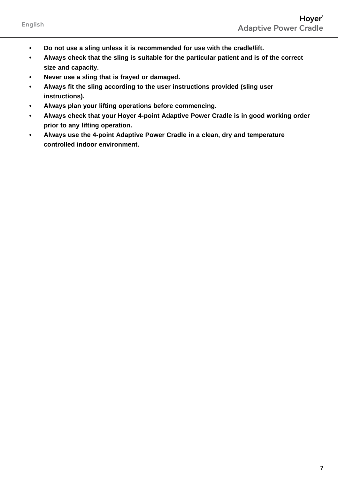- **• Do not use a sling unless it is recommended for use with the cradle/lift.**
- **• Always check that the sling is suitable for the particular patient and is of the correct size and capacity.**
- **• Never use a sling that is frayed or damaged.**
- **• Always fit the sling according to the user instructions provided (sling user instructions).**
- **• Always plan your lifting operations before commencing.**
- **• Always check that your Hoyer 4-point Adaptive Power Cradle is in good working order prior to any lifting operation.**
- **• Always use the 4-point Adaptive Power Cradle in a clean, dry and temperature controlled indoor environment.**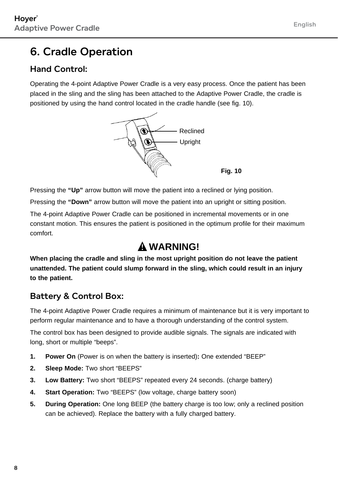### 6. Cradle Operation

#### Hand Control:

Operating the 4-point Adaptive Power Cradle is a very easy process. Once the patient has been placed in the sling and the sling has been attached to the Adaptive Power Cradle, the cradle is positioned by using the hand control located in the cradle handle (see fig. 10).



Pressing the **"Up"** arrow button will move the patient into a reclined or lying position.

Pressing the **"Down"** arrow button will move the patient into an upright or sitting position.

The 4-point Adaptive Power Cradle can be positioned in incremental movements or in one constant motion. This ensures the patient is positioned in the optimum profile for their maximum comfort.

#### **WARNING!**

**When placing the cradle and sling in the most upright position do not leave the patient unattended. The patient could slump forward in the sling, which could result in an injury to the patient.**

#### Battery & Control Box:

The 4-point Adaptive Power Cradle requires a minimum of maintenance but it is very important to perform regular maintenance and to have a thorough understanding of the control system.

The control box has been designed to provide audible signals. The signals are indicated with long, short or multiple "beeps".

- **1. Power On** (Power is on when the battery is inserted)**:** One extended "BEEP"
- **2. Sleep Mode:** Two short "BEEPS"
- **3. Low Battery:** Two short "BEEPS" repeated every 24 seconds. (charge battery)
- **4. Start Operation:** Two "BEEPS" (low voltage, charge battery soon)
- **5. During Operation:** One long BEEP (the battery charge is too low; only a reclined position can be achieved). Replace the battery with a fully charged battery.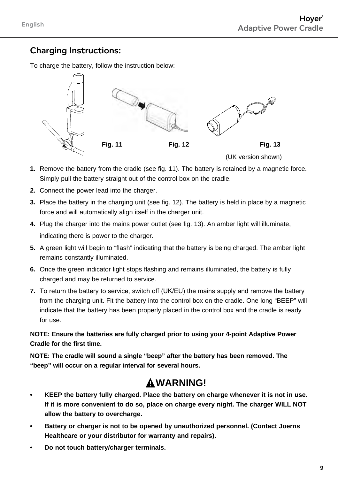#### Charging Instructions:

To charge the battery, follow the instruction below:



- **1.** Remove the battery from the cradle (see fig. 11). The battery is retained by a magnetic force. Simply pull the battery straight out of the control box on the cradle.
- **2.** Connect the power lead into the charger.
- **3.** Place the battery in the charging unit (see fig. 12). The battery is held in place by a magnetic force and will automatically align itself in the charger unit.
- **4.** Plug the charger into the mains power outlet (see fig. 13). An amber light will illuminate, indicating there is power to the charger.
- **5.** A green light will begin to "flash" indicating that the battery is being charged. The amber light remains constantly illuminated.
- **6.** Once the green indicator light stops flashing and remains illuminated, the battery is fully charged and may be returned to service.
- **7.** To return the battery to service, switch off (UK/EU) the mains supply and remove the battery from the charging unit. Fit the battery into the control box on the cradle. One long "BEEP" will indicate that the battery has been properly placed in the control box and the cradle is ready for use.

**NOTE: Ensure the batteries are fully charged prior to using your 4-point Adaptive Power Cradle for the first time.**

**NOTE: The cradle will sound a single "beep" after the battery has been removed. The "beep" will occur on a regular interval for several hours.**

#### **WARNING!**

- **• KEEP the battery fully charged. Place the battery on charge whenever it is not in use. If it is more convenient to do so, place on charge every night. The charger WILL NOT allow the battery to overcharge.**
- **• Battery or charger is not to be opened by unauthorized personnel. (Contact Joerns Healthcare or your distributor for warranty and repairs).**
- **• Do not touch battery/charger terminals.**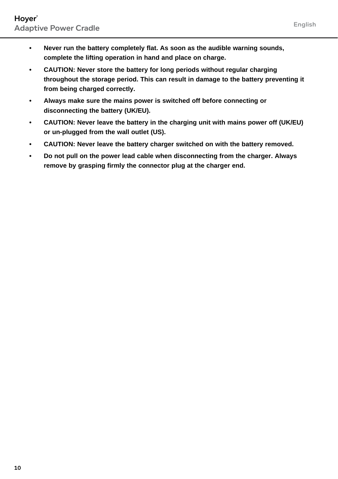- **• Never run the battery completely flat. As soon as the audible warning sounds, complete the lifting operation in hand and place on charge.**
- **• CAUTION: Never store the battery for long periods without regular charging throughout the storage period. This can result in damage to the battery preventing it from being charged correctly.**
- **• Always make sure the mains power is switched off before connecting or disconnecting the battery (UK/EU).**
- **• CAUTION: Never leave the battery in the charging unit with mains power off (UK/EU) or un-plugged from the wall outlet (US).**
- **• CAUTION: Never leave the battery charger switched on with the battery removed.**
- **• Do not pull on the power lead cable when disconnecting from the charger. Always remove by grasping firmly the connector plug at the charger end.**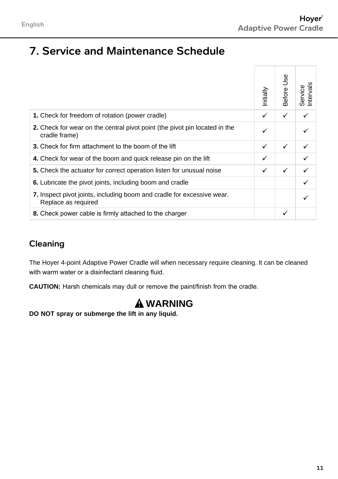### 7. Service and Maintenance Schedule

|                                                                                               | Initially | Before Use | Intervals<br>Service |
|-----------------------------------------------------------------------------------------------|-----------|------------|----------------------|
| 1. Check for freedom of rotation (power cradle)                                               | ✓         | ✓          |                      |
| 2. Check for wear on the central pivot point (the pivot pin located in the<br>cradle frame)   | ✓         |            |                      |
| 3. Check for firm attachment to the boom of the lift                                          | ✓         | ✓          |                      |
| 4. Check for wear of the boom and quick release pin on the lift                               |           |            |                      |
| 5. Check the actuator for correct operation listen for unusual noise                          | ✓         | ✓          |                      |
| 6. Lubricate the pivot joints, including boom and cradle                                      |           |            |                      |
| 7. Inspect pivot joints, including boom and cradle for excessive wear.<br>Replace as required |           |            |                      |
| 8. Check power cable is firmly attached to the charger                                        |           | ✓          |                      |

#### Cleaning

The Hoyer 4-point Adaptive Power Cradle will when necessary require cleaning. It can be cleaned with warm water or a disinfectant cleaning fluid.

**CAUTION:** Harsh chemicals may dull or remove the paint/finish from the cradle.

### **WARNING**

**DO NOT spray or submerge the lift in any liquid.**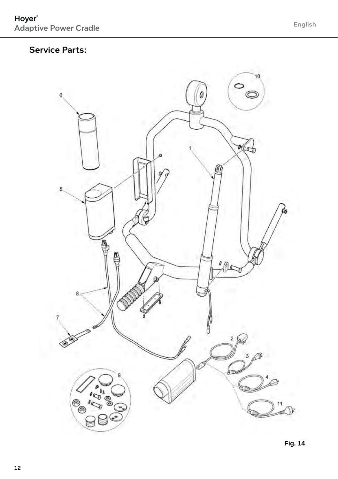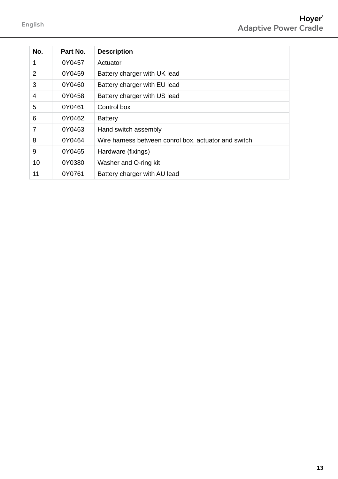| No. | Part No. | <b>Description</b>                                   |
|-----|----------|------------------------------------------------------|
| 1   | 0Y0457   | Actuator                                             |
| 2   | 0Y0459   | Battery charger with UK lead                         |
| 3   | 0Y0460   | Battery charger with EU lead                         |
| 4   | 0Y0458   | Battery charger with US lead                         |
| 5   | 0Y0461   | Control box                                          |
| 6   | 0Y0462   | Battery                                              |
|     | 0Y0463   | Hand switch assembly                                 |
| 8   | 0Y0464   | Wire harness between conrol box, actuator and switch |
| 9   | 0Y0465   | Hardware (fixings)                                   |
| 10  | 0Y0380   | Washer and O-ring kit                                |
| 11  | 0Y0761   | Battery charger with AU lead                         |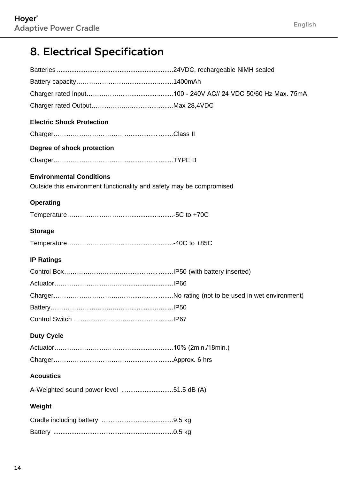# 8. Electrical Specification

| <b>Electric Shock Protection</b>                                                                        |  |
|---------------------------------------------------------------------------------------------------------|--|
|                                                                                                         |  |
| Degree of shock protection                                                                              |  |
|                                                                                                         |  |
|                                                                                                         |  |
| <b>Environmental Conditions</b><br>Outside this environment functionality and safety may be compromised |  |
|                                                                                                         |  |
| <b>Operating</b>                                                                                        |  |
|                                                                                                         |  |
| <b>Storage</b>                                                                                          |  |
|                                                                                                         |  |
| <b>IP Ratings</b>                                                                                       |  |
|                                                                                                         |  |
|                                                                                                         |  |
|                                                                                                         |  |
|                                                                                                         |  |
|                                                                                                         |  |
|                                                                                                         |  |
| <b>Duty Cycle</b>                                                                                       |  |
|                                                                                                         |  |
|                                                                                                         |  |
| <b>Acoustics</b>                                                                                        |  |
| A-Weighted sound power level 51.5 dB (A)                                                                |  |
| Weight                                                                                                  |  |
|                                                                                                         |  |
|                                                                                                         |  |
|                                                                                                         |  |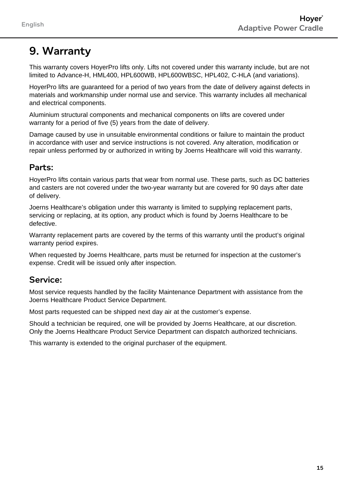# 9. Warranty

This warranty covers HoyerPro lifts only. Lifts not covered under this warranty include, but are not limited to Advance-H, HML400, HPL600WB, HPL600WBSC, HPL402, C-HLA (and variations).

HoyerPro lifts are guaranteed for a period of two years from the date of delivery against defects in materials and workmanship under normal use and service. This warranty includes all mechanical and electrical components.

Aluminium structural components and mechanical components on lifts are covered under warranty for a period of five (5) years from the date of delivery.

Damage caused by use in unsuitable environmental conditions or failure to maintain the product in accordance with user and service instructions is not covered. Any alteration, modification or repair unless performed by or authorized in writing by Joerns Healthcare will void this warranty.

#### Parts:

HoyerPro lifts contain various parts that wear from normal use. These parts, such as DC batteries and casters are not covered under the two-year warranty but are covered for 90 days after date of delivery.

Joerns Healthcare's obligation under this warranty is limited to supplying replacement parts, servicing or replacing, at its option, any product which is found by Joerns Healthcare to be defective.

Warranty replacement parts are covered by the terms of this warranty until the product's original warranty period expires.

When requested by Joerns Healthcare, parts must be returned for inspection at the customer's expense. Credit will be issued only after inspection.

#### Service:

Most service requests handled by the facility Maintenance Department with assistance from the Joerns Healthcare Product Service Department.

Most parts requested can be shipped next day air at the customer's expense.

Should a technician be required, one will be provided by Joerns Healthcare, at our discretion. Only the Joerns Healthcare Product Service Department can dispatch authorized technicians.

This warranty is extended to the original purchaser of the equipment.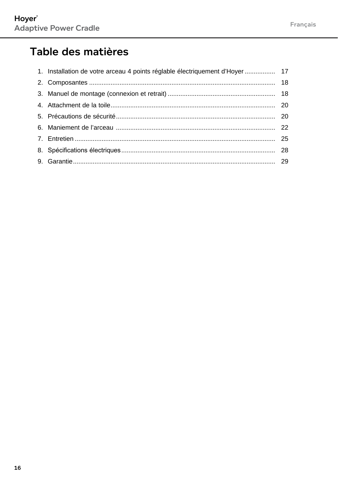## Table des matières

| 1. Installation de votre arceau 4 points réglable électriquement d'Hoyer  17 |  |
|------------------------------------------------------------------------------|--|
|                                                                              |  |
|                                                                              |  |
|                                                                              |  |
|                                                                              |  |
|                                                                              |  |
|                                                                              |  |
|                                                                              |  |
|                                                                              |  |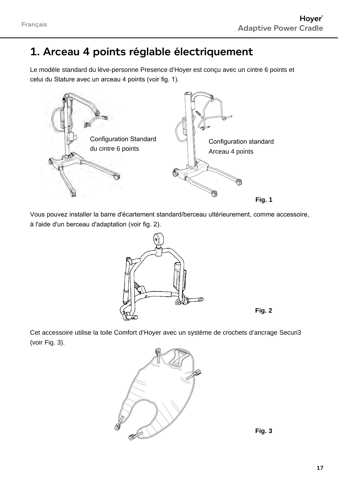### 1. Arceau 4 points réglable électriquement

Le modèle standard du lève-personne Presence d'Hoyer est conçu avec un cintre 6 points et celui du Stature avec un arceau 4 points (voir fig. 1).



Vous pouvez installer la barre d'écartement standard/berceau ultérieurement, comme accessoire, à l'aide d'un berceau d'adaptation (voir fig. 2).



**Fig. 2**

Cet accessoire utilise la toile Comfort d'Hoyer avec un système de crochets d'ancrage Securi3 (voir Fig. 3).



**Fig. 3**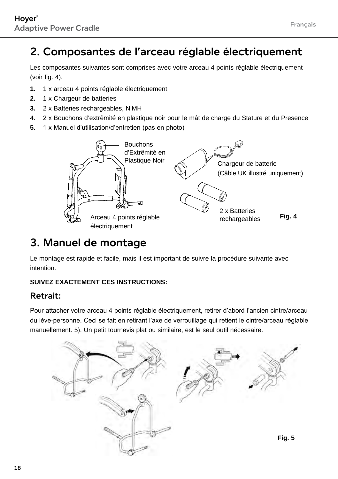## 2. Composantes de l'arceau réglable électriquement

Les composantes suivantes sont comprises avec votre arceau 4 points réglable électriquement (voir fig. 4).

- **1.** 1 x arceau 4 points réglable électriquement
- **2.** 1 x Chargeur de batteries
- **3.** 2 x Batteries rechargeables, NiMH
- 4. 2 x Bouchons d'extrêmité en plastique noir pour le mât de charge du Stature et du Presence
- **5.** 1 x Manuel d'utilisation/d'entretien (pas en photo)



### 3. Manuel de montage

Le montage est rapide et facile, mais il est important de suivre la procédure suivante avec intention.

#### **SUIVEZ EXACTEMENT CES INSTRUCTIONS:**

#### Retrait:

Pour attacher votre arceau 4 points réglable électriquement, retirer d'abord l'ancien cintre/arceau du lève-personne. Ceci se fait en retirant l'axe de verrouillage qui retient le cintre/arceau réglable manuellement. 5). Un petit tournevis plat ou similaire, est le seul outil nécessaire.

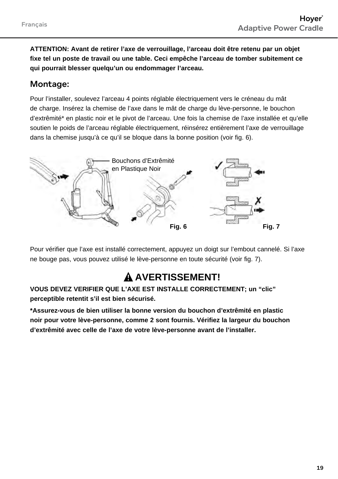**ATTENTION: Avant de retirer l'axe de verrouillage, l'arceau doit être retenu par un objet fixe tel un poste de travail ou une table. Ceci empêche l'arceau de tomber subitement ce qui pourrait blesser quelqu'un ou endommager l'arceau.** 

#### Montage:

Pour l'installer, soulevez l'arceau 4 points réglable électriquement vers le créneau du mât de charge. Insérez la chemise de l'axe dans le mât de charge du lève-personne, le bouchon d'extrêmité\* en plastic noir et le pivot de l'arceau. Une fois la chemise de l'axe installée et qu'elle soutien le poids de l'arceau réglable électriquement, réinsérez entièrement l'axe de verrouillage dans la chemise jusqu'à ce qu'il se bloque dans la bonne position (voir fig. 6).



Pour vérifier que l'axe est installé correctement, appuyez un doigt sur l'embout cannelé. Si l'axe ne bouge pas, vous pouvez utilisé le lève-personne en toute sécurité (voir fig. 7).

### **A AVERTISSEMENT!**

**VOUS DEVEZ VERIFIER QUE L'AXE EST INSTALLE CORRECTEMENT; un "clic" perceptible retentit s'il est bien sécurisé.**

**\*Assurez-vous de bien utiliser la bonne version du bouchon d'extrêmité en plastic noir pour votre lève-personne, comme 2 sont fournis. Vérifiez la largeur du bouchon d'extrêmité avec celle de l'axe de votre lève-personne avant de l'installer.**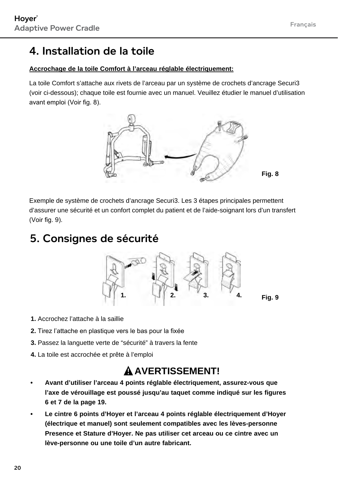#### 4. Installation de la toile

#### **Accrochage de la toile Comfort à l'arceau réglable électriquement:**

La toile Comfort s'attache aux rivets de l'arceau par un système de crochets d'ancrage Securi3 (voir ci-dessous); chaque toile est fournie avec un manuel. Veuillez étudier le manuel d'utilisation avant emploi (Voir fig. 8).



Exemple de système de crochets d'ancrage Securi3. Les 3 étapes principales permettent d'assurer une sécurité et un confort complet du patient et de l'aide-soignant lors d'un transfert (Voir fig. 9).

#### 5. Consignes de sécurité



- **1.** Accrochez l'attache à la saillie
- **2.** Tirez l'attache en plastique vers le bas pour la fixée
- **3.** Passez la languette verte de "sécurité" à travers la fente
- **4.** La toile est accrochée et prête à l'emploi

#### **AVERTISSEMENT!**

- **• Avant d'utiliser l'arceau 4 points réglable électriquement, assurez-vous que l'axe de vérouillage est poussé jusqu'au taquet comme indiqué sur les figures 6 et 7 de la page 19.**
- **• Le cintre 6 points d'Hoyer et l'arceau 4 points réglable électriquement d'Hoyer (électrique et manuel) sont seulement compatibles avec les lèves-personne Presence et Stature d'Hoyer. Ne pas utiliser cet arceau ou ce cintre avec un lève-personne ou une toile d'un autre fabricant.**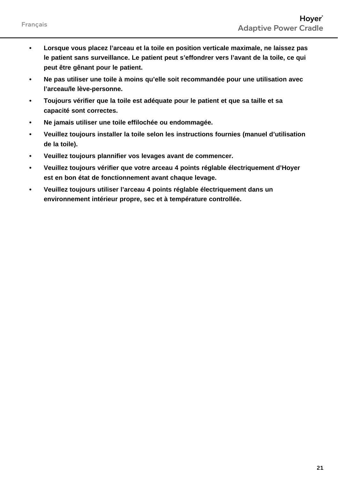- **• Lorsque vous placez l'arceau et la toile en position verticale maximale, ne laissez pas le patient sans surveillance. Le patient peut s'effondrer vers l'avant de la toile, ce qui peut être gênant pour le patient.**
- **• Ne pas utiliser une toile à moins qu'elle soit recommandée pour une utilisation avec l'arceau/le lève-personne.**
- **• Toujours vérifier que la toile est adéquate pour le patient et que sa taille et sa capacité sont correctes.**
- **• Ne jamais utiliser une toile effilochée ou endommagée.**
- **• Veuillez toujours installer la toile selon les instructions fournies (manuel d'utilisation de la toile).**
- **• Veuillez toujours plannifier vos levages avant de commencer.**
- **• Veuillez toujours vérifier que votre arceau 4 points réglable électriquement d'Hoyer est en bon état de fonctionnement avant chaque levage.**
- **• Veuillez toujours utiliser l'arceau 4 points réglable électriquement dans un environnement intérieur propre, sec et à température controllée.**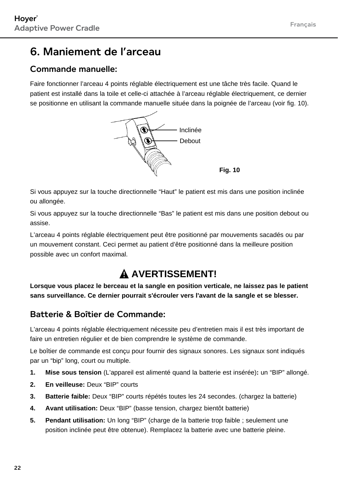#### 6. Maniement de l'arceau

#### Commande manuelle<sup>.</sup>

Faire fonctionner l'arceau 4 points réglable électriquement est une tâche très facile. Quand le patient est installé dans la toile et celle-ci attachée à l'arceau réglable électriquement, ce dernier se positionne en utilisant la commande manuelle située dans la poignée de l'arceau (voir fig. 10).



Si vous appuyez sur la touche directionnelle "Haut" le patient est mis dans une position inclinée ou allongée.

Si vous appuyez sur la touche directionnelle "Bas" le patient est mis dans une position debout ou assise.

L'arceau 4 points réglable électriquement peut être positionné par mouvements sacadés ou par un mouvement constant. Ceci permet au patient d'être positionné dans la meilleure position possible avec un confort maximal.

### **A AVERTISSEMENT!**

**Lorsque vous placez le berceau et la sangle en position verticale, ne laissez pas le patient sans surveillance. Ce dernier pourrait s'écrouler vers l'avant de la sangle et se blesser.**

#### Batterie & Boîtier de Commande:

L'arceau 4 points réglable électriquement nécessite peu d'entretien mais il est très important de faire un entretien régulier et de bien comprendre le système de commande.

Le boîtier de commande est conçu pour fournir des signaux sonores. Les signaux sont indiqués par un "bip" long, court ou multiple.

- **1. Mise sous tension** (L'appareil est alimenté quand la batterie est insérée)**:** un "BIP" allongé.
- **2. En veilleuse:** Deux "BIP" courts
- **3. Batterie faible:** Deux "BIP" courts répétés toutes les 24 secondes. (chargez la batterie)
- **4. Avant utilisation:** Deux "BIP" (basse tension, chargez bientôt batterie)
- **5. Pendant utilisation:** Un long "BIP" (charge de la batterie trop faible ; seulement une position inclinée peut être obtenue). Remplacez la batterie avec une batterie pleine.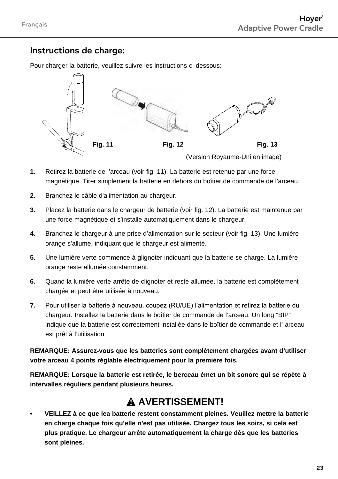#### Instructions de charge:

Pour charger la batterie, veuillez suivre les instructions ci-dessous:



(Version Royaume-Uni en image)

- **1.** Retirez la batterie de l'arceau (voir fig. 11). La batterie est retenue par une force magnétique. Tirer simplement la batterie en dehors du boîtier de commande de l'arceau.
- **2.** Branchez le câble d'alimentation au chargeur.
- **3.** Placez la batterie dans le chargeur de batterie (voir fig. 12). La batterie est maintenue par une force magnétique et s'installe automatiquement dans le chargeur.
- **4.** Branchez le chargeur à une prise d'alimentation sur le secteur (voir fig. 13). Une lumière orange s'allume, indiquant que le chargeur est alimenté.
- **5.** Une lumière verte commence à glignoter indiquant que la batterie se charge. La lumière orange reste allumée constamment.
- **6.** Quand la lumière verte arrête de clignoter et reste allumée, la batterie est complètement chargée et peut être utilisée à nouveau.
- **7.** Pour utiliser la batterie à nouveau, coupez (RU/UE) l'alimentation et retirez la batterie du chargeur. Installez la batterie dans le boîtier de commande de l'arceau. Un long "BIP" indique que la batterie est correctement installée dans le boîtier de commande et l' arceau est prêt à l'utilisation.

**REMARQUE: Assurez-vous que les batteries sont complètement chargées avant d'utiliser votre arceau 4 points réglable électriquement pour la première fois.**

**REMARQUE: Lorsque la batterie est retirée, le berceau émet un bit sonore qui se répète à intervalles réguliers pendant plusieurs heures.**

#### **AVERTISSEMENT!**

**• VEILLEZ à ce que lea batterie restent constamment pleines. Veuillez mettre la batterie en charge chaque fois qu'elle n'est pas utilisée. Chargez tous les soirs, si cela est plus pratique. Le chargeur arrête automatiquement la charge dès que les batteries sont pleines.**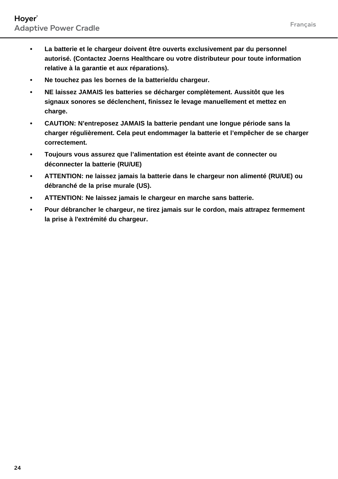- **• La batterie et le chargeur doivent être ouverts exclusivement par du personnel autorisé. (Contactez Joerns Healthcare ou votre distributeur pour toute information relative à la garantie et aux réparations).**
- **• Ne touchez pas les bornes de la batterie/du chargeur.**
- **• NE laissez JAMAIS les batteries se décharger complètement. Aussitôt que les signaux sonores se déclenchent, finissez le levage manuellement et mettez en charge.**
- **• CAUTION: N'entreposez JAMAIS la batterie pendant une longue période sans la charger régulièrement. Cela peut endommager la batterie et l'empêcher de se charger correctement.**
- **• Toujours vous assurez que l'alimentation est éteinte avant de connecter ou déconnecter la batterie (RU/UE)**
- **• ATTENTION: ne laissez jamais la batterie dans le chargeur non alimenté (RU/UE) ou débranché de la prise murale (US).**
- **• ATTENTION: Ne laissez jamais le chargeur en marche sans batterie.**
- **• Pour débrancher le chargeur, ne tirez jamais sur le cordon, mais attrapez fermement la prise à l'extrémité du chargeur.**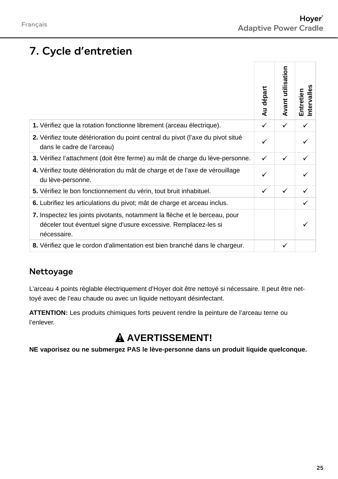# 7. Cycle d'entretien

|                                                                                                                                                                                           | Au départ | Avant utilisation | Intervalles<br>Entretien |
|-------------------------------------------------------------------------------------------------------------------------------------------------------------------------------------------|-----------|-------------------|--------------------------|
| 1. Vérifiez que la rotation fonctionne librement (arceau électrique).                                                                                                                     | ✓         | ✓                 | ✓                        |
| 2. Vérifiez toute détérioration du point central du pivot (l'axe du pivot situé<br>dans le cadre de l'arceau)                                                                             | ✓         |                   | ✓                        |
| 3. Vérifiez l'attachment (doit être ferme) au mât de charge du lève-personne.                                                                                                             | ✓         | ✓                 | ✓                        |
| 4. Vérifiez toute détérioration du mât de charge et de l'axe de vérouillage<br>du lève-personne.                                                                                          | ✓         |                   | ✓                        |
| 5. Vérifiez le bon fonctionnement du vérin, tout bruit inhabituel.                                                                                                                        | ✓         | ✓                 | ✓                        |
| 6. Lubrifiez les articulations du pivot; mât de charge et arceau inclus.                                                                                                                  |           |                   | ✓                        |
| 7. Inspectez les joints pivotants, notamment la flèche et le berceau, pour<br>déceler tout éventuel signe d'usure excessive. Remplacez-les si<br>nécessaire.                              |           |                   | ✓                        |
| 8. Vérifiez que le cordon d'alimentation est bien branché dans le chargeur.                                                                                                               |           | ✓                 |                          |
| Nettoyage<br>L'arceau 4 points réglable électriquement d'Hoyer doit être nettoyé si nécessaire. Il peut être net-<br>toyé avec de l'eau chaude ou avec un liquide nettoyant désinfectant. |           |                   |                          |
| ATTENTION: Les produits chimiques forts peuvent rendre la peinture de l'arceau terne ou<br>l'enlever.                                                                                     |           |                   |                          |
| $\mathbf{\mathbf{\Delta}}$ AVERTISSEMENT!                                                                                                                                                 |           |                   |                          |
| NE vaporisez ou ne submergez PAS le lève-personne dans un produit liquide quelconque.                                                                                                     |           |                   |                          |

#### Nettoyage

### **A AVERTISSEMENT!**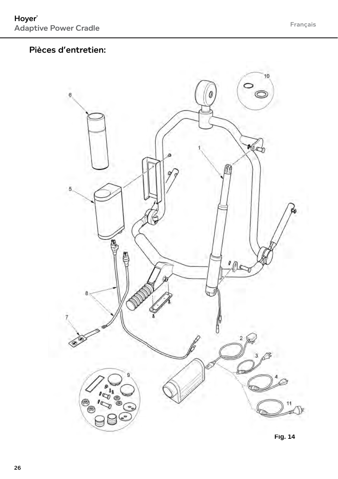#### Pièces d'entretien:

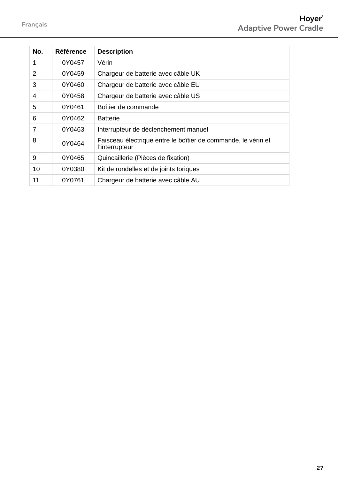| No. | Référence | <b>Description</b>                                                              |
|-----|-----------|---------------------------------------------------------------------------------|
| 1   | 0Y0457    | Vérin                                                                           |
| 2   | 0Y0459    | Chargeur de batterie avec câble UK                                              |
| 3   | 0Y0460    | Chargeur de batterie avec câble EU                                              |
| 4   | 0Y0458    | Chargeur de batterie avec câble US                                              |
| 5   | 0Y0461    | Boîtier de commande                                                             |
| 6   | 0Y0462    | <b>Batterie</b>                                                                 |
| 7   | 0Y0463    | Interrupteur de déclenchement manuel                                            |
| 8   | 0Y0464    | Faisceau électrique entre le boîtier de commande, le vérin et<br>l'interrupteur |
| 9   | 0Y0465    | Quincaillerie (Pièces de fixation)                                              |
| 10  | 0Y0380    | Kit de rondelles et de joints toriques                                          |
| 11  | 0Y0761    | Chargeur de batterie avec câble AU                                              |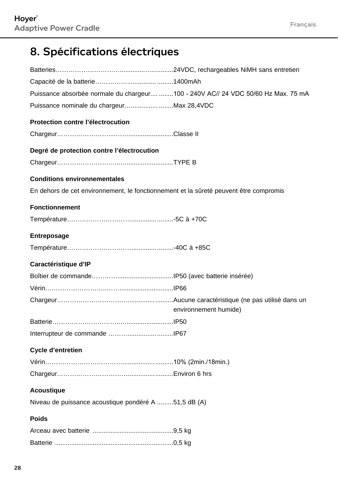# 8. Spécifications électriques

| Puissance absorbée normale du chargeur 100 - 240V AC// 24 VDC 50/60 Hz Max. 75 mA     |                       |
|---------------------------------------------------------------------------------------|-----------------------|
| Puissance nominale du chargeurMax 28,4VDC                                             |                       |
| Protection contre l'électrocution                                                     |                       |
|                                                                                       |                       |
| Degré de protection contre l'électrocution                                            |                       |
|                                                                                       |                       |
| <b>Conditions environnementales</b>                                                   |                       |
| En dehors de cet environnement, le fonctionnement et la sûreté peuvent être compromis |                       |
| <b>Fonctionnement</b>                                                                 |                       |
|                                                                                       |                       |
| Entreposage                                                                           |                       |
|                                                                                       |                       |
|                                                                                       |                       |
| Caractéristique d'IP                                                                  |                       |
|                                                                                       |                       |
|                                                                                       |                       |
|                                                                                       | environnement humide) |
|                                                                                       |                       |
|                                                                                       |                       |
| <b>Cycle d'entretien</b>                                                              |                       |
|                                                                                       |                       |
|                                                                                       |                       |
| <b>Acoustique</b>                                                                     |                       |
| Niveau de puissance acoustique pondéré A 51,5 dB (A)                                  |                       |
| <b>Poids</b>                                                                          |                       |
|                                                                                       |                       |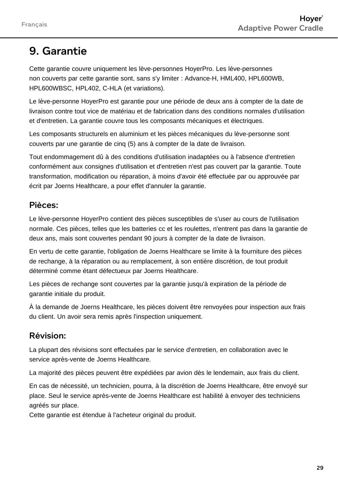### 9. Garantie

Cette garantie couvre uniquement les lève-personnes HoyerPro. Les lève-personnes non couverts par cette garantie sont, sans s'y limiter : Advance-H, HML400, HPL600WB, HPL600WBSC, HPL402, C-HLA (et variations).

Le lève-personne HoyerPro est garantie pour une période de deux ans à compter de la date de livraison contre tout vice de matériau et de fabrication dans des conditions normales d'utilisation et d'entretien. La garantie couvre tous les composants mécaniques et électriques.

Les composants structurels en aluminium et les pièces mécaniques du lève-personne sont couverts par une garantie de cinq (5) ans à compter de la date de livraison.

Tout endommagement dû à des conditions d'utilisation inadaptées ou à l'absence d'entretien conformément aux consignes d'utilisation et d'entretien n'est pas couvert par la garantie. Toute transformation, modification ou réparation, à moins d'avoir été effectuée par ou approuvée par écrit par Joerns Healthcare, a pour effet d'annuler la garantie.

#### Pièces:

Le lève-personne HoyerPro contient des pièces susceptibles de s'user au cours de l'utilisation normale. Ces pièces, telles que les batteries cc et les roulettes, n'entrent pas dans la garantie de deux ans, mais sont couvertes pendant 90 jours à compter de la date de livraison.

En vertu de cette garantie, l'obligation de Joerns Healthcare se limite à la fourniture des pièces de rechange, à la réparation ou au remplacement, à son entière discrétion, de tout produit déterminé comme étant défectueux par Joerns Healthcare.

Les pièces de rechange sont couvertes par la garantie jusqu'à expiration de la période de garantie initiale du produit.

À la demande de Joerns Healthcare, les pièces doivent être renvoyées pour inspection aux frais du client. Un avoir sera remis après l'inspection uniquement.

#### Révision:

La plupart des révisions sont effectuées par le service d'entretien, en collaboration avec le service après-vente de Joerns Healthcare.

La majorité des pièces peuvent être expédiées par avion dès le lendemain, aux frais du client.

En cas de nécessité, un technicien, pourra, à la discrétion de Joerns Healthcare, être envoyé sur place. Seul le service après-vente de Joerns Healthcare est habilité à envoyer des techniciens agréés sur place.

Cette garantie est étendue à l'acheteur original du produit.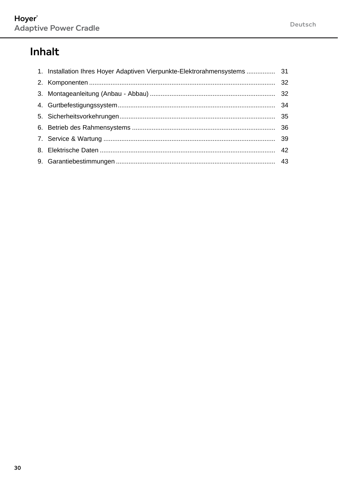# **Inhalt**

| 1. Installation Ihres Hoyer Adaptiven Vierpunkte-Elektrorahmensystems  31 |  |
|---------------------------------------------------------------------------|--|
|                                                                           |  |
|                                                                           |  |
|                                                                           |  |
|                                                                           |  |
|                                                                           |  |
|                                                                           |  |
|                                                                           |  |
|                                                                           |  |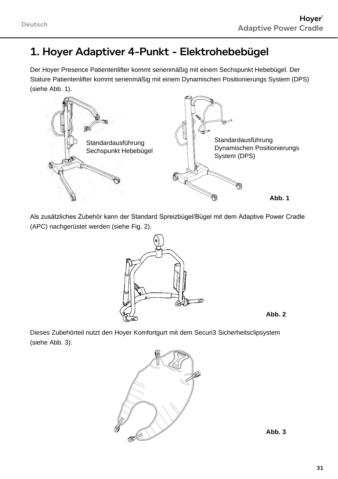### 1. Hoyer Adaptiver 4-Punkt - Elektrohebebügel

Der Hoyer Presence Patientenlifter kommt serienmäßig mit einem Sechspunkt Hebebügel. Der Stature Patientenlifter kommt serienmäßig mit einem Dynamischen Positionierungs System (DPS) (siehe Abb. 1).



Als zusätzliches Zubehör kann der Standard Spreizbügel/Bügel mit dem Adaptive Power Cradle (APC) nachgerüstet werden (siehe Fig. 2).





Dieses Zubehörteil nutzt den Hoyer Komfortgurt mit dem Securi3 Sicherheitsclipsystem (siehe Abb. 3).



**Abb. 3**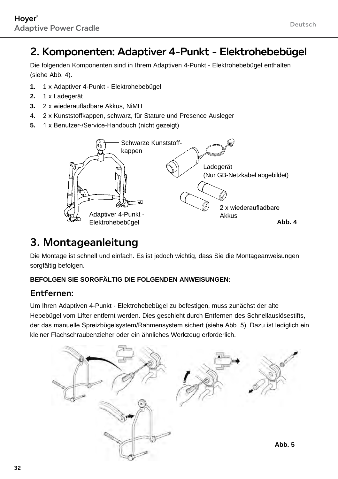### 2. Komponenten: Adaptiver 4-Punkt - Elektrohebebügel

Die folgenden Komponenten sind in Ihrem Adaptiven 4-Punkt - Elektrohebebügel enthalten (siehe Abb. 4).

- **1.** 1 x Adaptiver 4-Punkt Elektrohebebügel
- **2.** 1 x Ladegerät
- **3.** 2 x wiederaufladbare Akkus, NiMH
- 4. 2 x Kunststoffkappen, schwarz, für Stature und Presence Ausleger
- **5.** 1 x Benutzer-/Service-Handbuch (nicht gezeigt)



### 3. Montageanleitung

Die Montage ist schnell und einfach. Es ist jedoch wichtig, dass Sie die Montageanweisungen sorgfältig befolgen.

#### **BEFOLGEN SIE SORGFÄLTIG DIE FOLGENDEN ANWEISUNGEN:**

#### Entfernen:

Um Ihren Adaptiven 4-Punkt - Elektrohebebügel zu befestigen, muss zunächst der alte Hebebügel vom Lifter entfernt werden. Dies geschieht durch Entfernen des Schnellauslösestifts, der das manuelle Spreizbügelsystem/Rahmensystem sichert (siehe Abb. 5). Dazu ist lediglich ein kleiner Flachschraubenzieher oder ein ähnliches Werkzeug erforderlich.

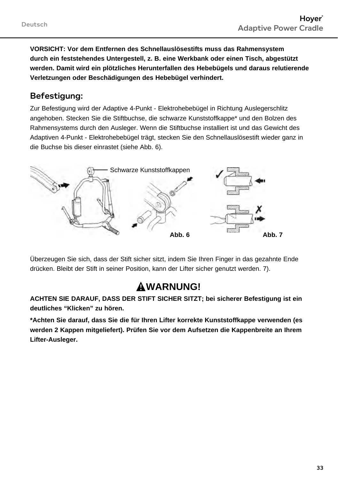**VORSICHT: Vor dem Entfernen des Schnellauslösestifts muss das Rahmensystem durch ein feststehendes Untergestell, z. B. eine Werkbank oder einen Tisch, abgestützt werden. Damit wird ein plötzliches Herunterfallen des Hebebügels und daraus relutierende Verletzungen oder Beschädigungen des Hebebügel verhindert.** 

#### Befestigung:

Zur Befestigung wird der Adaptive 4-Punkt - Elektrohebebügel in Richtung Auslegerschlitz angehoben. Stecken Sie die Stiftbuchse, die schwarze Kunststoffkappe\* und den Bolzen des Rahmensystems durch den Ausleger. Wenn die Stiftbuchse installiert ist und das Gewicht des Adaptiven 4-Punkt - Elektrohebebügel trägt, stecken Sie den Schnellauslösestift wieder ganz in die Buchse bis dieser einrastet (siehe Abb. 6).



Überzeugen Sie sich, dass der Stift sicher sitzt, indem Sie Ihren Finger in das gezahnte Ende drücken. Bleibt der Stift in seiner Position, kann der Lifter sicher genutzt werden. 7).

### **Warnung!**

**ACHTEN SIE DARAUF, DASS DER STIFT SICHER SITZT; bei sicherer Befestigung ist ein deutliches "Klicken" zu hören.**

**\*Achten Sie darauf, dass Sie die für Ihren Lifter korrekte Kunststoffkappe verwenden (es werden 2 Kappen mitgeliefert). Prüfen Sie vor dem Aufsetzen die Kappenbreite an Ihrem Lifter-Ausleger.**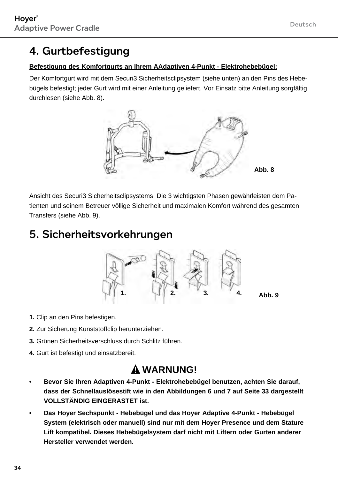# 4. Gurtbefestigung

#### **Befestigung des Komfortgurts an Ihrem AAdaptiven 4-Punkt - Elektrohebebügel:**

Der Komfortgurt wird mit dem Securi3 Sicherheitsclipsystem (siehe unten) an den Pins des Hebebügels befestigt; jeder Gurt wird mit einer Anleitung geliefert. Vor Einsatz bitte Anleitung sorgfältig durchlesen (siehe Abb. 8).



Ansicht des Securi3 Sicherheitsclipsystems. Die 3 wichtigsten Phasen gewährleisten dem Patienten und seinem Betreuer völlige Sicherheit und maximalen Komfort während des gesamten Transfers (siehe Abb. 9).

#### 5. Sicherheitsvorkehrungen



- **1.** Clip an den Pins befestigen.
- **2.** Zur Sicherung Kunststoffclip herunterziehen.
- **3.** Grünen Sicherheitsverschluss durch Schlitz führen.
- **4.** Gurt ist befestigt und einsatzbereit.

### **WARNUNG!**

- **• Bevor Sie Ihren Adaptiven 4-Punkt Elektrohebebügel benutzen, achten Sie darauf, dass der Schnellauslösestift wie in den Abbildungen 6 und 7 auf Seite 33 dargestellt VOLLSTÄNDIG EINGERASTET ist.**
- **• Das Hoyer Sechspunkt Hebebügel und das Hoyer Adaptive 4-Punkt Hebebügel System (elektrisch oder manuell) sind nur mit dem Hoyer Presence und dem Stature Lift kompatibel. Dieses Hebebügelsystem darf nicht mit Liftern oder Gurten anderer Hersteller verwendet werden.**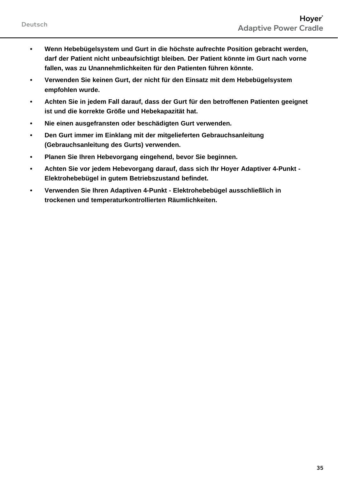- **• Wenn Hebebügelsystem und Gurt in die höchste aufrechte Position gebracht werden, darf der Patient nicht unbeaufsichtigt bleiben. Der Patient könnte im Gurt nach vorne fallen, was zu Unannehmlichkeiten für den Patienten führen könnte.**
- **• Verwenden Sie keinen Gurt, der nicht für den Einsatz mit dem Hebebügelsystem empfohlen wurde.**
- **• Achten Sie in jedem Fall darauf, dass der Gurt für den betroffenen Patienten geeignet ist und die korrekte Größe und Hebekapazität hat.**
- **• Nie einen ausgefransten oder beschädigten Gurt verwenden.**
- **• Den Gurt immer im Einklang mit der mitgelieferten Gebrauchsanleitung (Gebrauchsanleitung des Gurts) verwenden.**
- **• Planen Sie Ihren Hebevorgang eingehend, bevor Sie beginnen.**
- **• Achten Sie vor jedem Hebevorgang darauf, dass sich Ihr Hoyer Adaptiver 4-Punkt Elektrohebebügel in gutem Betriebszustand befindet.**
- **• Verwenden Sie Ihren Adaptiven 4-Punkt Elektrohebebügel ausschließlich in trockenen und temperaturkontrollierten Räumlichkeiten.**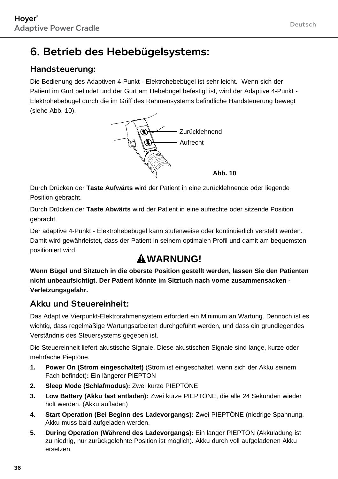# 6. Betrieb des Hebebügelsystems:

#### Handsteuerung:

Die Bedienung des Adaptiven 4-Punkt - Elektrohebebügel ist sehr leicht. Wenn sich der Patient im Gurt befindet und der Gurt am Hebebügel befestigt ist, wird der Adaptive 4-Punkt - Elektrohebebügel durch die im Griff des Rahmensystems befindliche Handsteuerung bewegt (siehe Abb. 10).



Durch Drücken der **Taste Aufwärts** wird der Patient in eine zurücklehnende oder liegende Position gebracht.

Durch Drücken der **Taste Abwärts** wird der Patient in eine aufrechte oder sitzende Position gebracht.

Der adaptive 4-Punkt - Elektrohebebügel kann stufenweise oder kontinuierlich verstellt werden. Damit wird gewährleistet, dass der Patient in seinem optimalen Profil und damit am bequemsten positioniert wird.

# **WARNUNG!**

**Wenn Bügel und Sitztuch in die oberste Position gestellt werden, lassen Sie den Patienten nicht unbeaufsichtigt. Der Patient könnte im Sitztuch nach vorne zusammensacken - Verletzungsgefahr.**

#### Akku und Steuereinheit:

Das Adaptive Vierpunkt-Elektrorahmensystem erfordert ein Minimum an Wartung. Dennoch ist es wichtig, dass regelmäßige Wartungsarbeiten durchgeführt werden, und dass ein grundlegendes Verständnis des Steuersystems gegeben ist.

Die Steuereinheit liefert akustische Signale. Diese akustischen Signale sind lange, kurze oder mehrfache Pieptöne.

- **1. Power On (Strom eingeschaltet)** (Strom ist eingeschaltet, wenn sich der Akku seinem Fach befindet)**:** Ein längerer PIEPTON
- **2. Sleep Mode (Schlafmodus):** Zwei kurze PIEPTÖNE
- **3. Low Battery (Akku fast entladen):** Zwei kurze PIEPTÖNE, die alle 24 Sekunden wieder holt werden. (Akku aufladen)
- **4. Start Operation (Bei Beginn des Ladevorgangs):** Zwei PIEPTÖNE (niedrige Spannung, Akku muss bald aufgeladen werden.
- **5. During Operation (Während des Ladevorgangs):** Ein langer PIEPTON (Akkuladung ist zu niedrig, nur zurückgelehnte Position ist möglich). Akku durch voll aufgeladenen Akku ersetzen.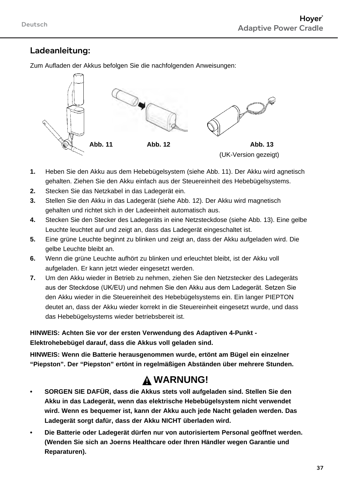#### Ladeanleitung:

Zum Aufladen der Akkus befolgen Sie die nachfolgenden Anweisungen:



- **1.** Heben Sie den Akku aus dem Hebebügelsystem (siehe Abb. 11). Der Akku wird agnetisch gehalten. Ziehen Sie den Akku einfach aus der Steuereinheit des Hebebügelsystems.
- **2.** Stecken Sie das Netzkabel in das Ladegerät ein.
- **3.** Stellen Sie den Akku in das Ladegerät (siehe Abb. 12). Der Akku wird magnetisch gehalten und richtet sich in der Ladeeinheit automatisch aus.
- **4.** Stecken Sie den Stecker des Ladegeräts in eine Netzsteckdose (siehe Abb. 13). Eine gelbe Leuchte leuchtet auf und zeigt an, dass das Ladegerät eingeschaltet ist.
- **5.** Eine grüne Leuchte beginnt zu blinken und zeigt an, dass der Akku aufgeladen wird. Die gelbe Leuchte bleibt an.
- **6.** Wenn die grüne Leuchte aufhört zu blinken und erleuchtet bleibt, ist der Akku voll aufgeladen. Er kann jetzt wieder eingesetzt werden.
- **7.** Um den Akku wieder in Betrieb zu nehmen, ziehen Sie den Netzstecker des Ladegeräts aus der Steckdose (UK/EU) und nehmen Sie den Akku aus dem Ladegerät. Setzen Sie den Akku wieder in die Steuereinheit des Hebebügelsystems ein. Ein langer PIEPTON deutet an, dass der Akku wieder korrekt in die Steuereinheit eingesetzt wurde, und dass das Hebebügelsystems wieder betriebsbereit ist.

**HINWEIS: Achten Sie vor der ersten Verwendung des Adaptiven 4-Punkt - Elektrohebebügel darauf, dass die Akkus voll geladen sind.**

**HINWEIS: Wenn die Batterie herausgenommen wurde, ertönt am Bügel ein einzelner "Piepston". Der "Piepston" ertönt in regelmäßigen Abständen über mehrere Stunden.**

#### **WARNUNG!**

- **• SORGEN SIE DAFÜR, dass die Akkus stets voll aufgeladen sind. Stellen Sie den Akku in das Ladegerät, wenn das elektrische Hebebügelsystem nicht verwendet wird. Wenn es bequemer ist, kann der Akku auch jede Nacht geladen werden. Das Ladegerät sorgt dafür, dass der Akku NICHT überladen wird.**
- **• Die Batterie oder Ladegerät dürfen nur von autorisiertem Personal geöffnet werden. (Wenden Sie sich an Joerns Healthcare oder Ihren Händler wegen Garantie und Reparaturen).**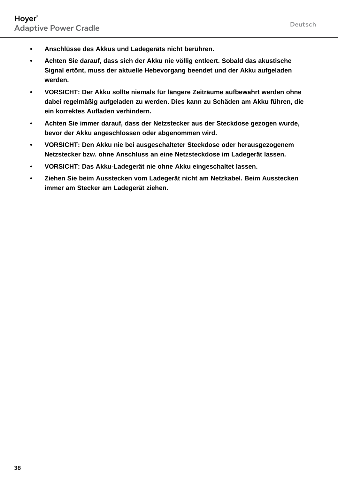- **• Anschlüsse des Akkus und Ladegeräts nicht berühren.**
- **• Achten Sie darauf, dass sich der Akku nie völlig entleert. Sobald das akustische Signal ertönt, muss der aktuelle Hebevorgang beendet und der Akku aufgeladen werden.**
- **• VORSICHT: Der Akku sollte niemals für längere Zeiträume aufbewahrt werden ohne dabei regelmäßig aufgeladen zu werden. Dies kann zu Schäden am Akku führen, die ein korrektes Aufladen verhindern.**
- **• Achten Sie immer darauf, dass der Netzstecker aus der Steckdose gezogen wurde, bevor der Akku angeschlossen oder abgenommen wird.**
- **• VORSICHT: Den Akku nie bei ausgeschalteter Steckdose oder herausgezogenem Netzstecker bzw. ohne Anschluss an eine Netzsteckdose im Ladegerät lassen.**
- **• VORSICHT: Das Akku-Ladegerät nie ohne Akku eingeschaltet lassen.**
- **• Ziehen Sie beim Ausstecken vom Ladegerät nicht am Netzkabel. Beim Ausstecken immer am Stecker am Ladegerät ziehen.**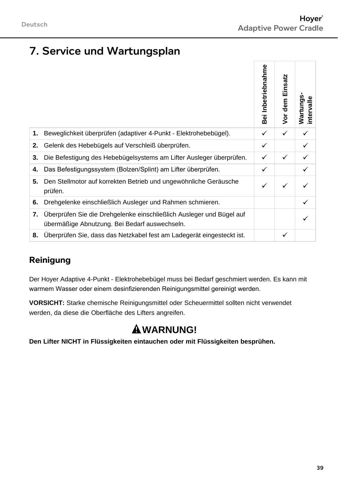## 7. Service und Wartungsplan

|    |                                                                                                                       | Inbetriebnahme<br>Bei | Einsatz<br>Vor dem | Wartungs<br>intervalle |
|----|-----------------------------------------------------------------------------------------------------------------------|-----------------------|--------------------|------------------------|
| 1. | Beweglichkeit überprüfen (adaptiver 4-Punkt - Elektrohebebügel).                                                      | ✓                     | ✓                  | ✓                      |
| 2. | Gelenk des Hebebügels auf Verschleiß überprüfen.                                                                      | ✓                     |                    | ✓                      |
| 3. | Die Befestigung des Hebebügelsystems am Lifter Ausleger überprüfen.                                                   | ✓                     | ✓                  | ✓                      |
| 4. | Das Befestigungssystem (Bolzen/Splint) am Lifter überprüfen.                                                          | ✓                     |                    | ✓                      |
| 5. | Den Stellmotor auf korrekten Betrieb und ungewöhnliche Geräusche<br>prüfen.                                           | ✓                     | ✓                  |                        |
| 6. | Drehgelenke einschließlich Ausleger und Rahmen schmieren.                                                             |                       |                    | ✓                      |
| 7. | Uberprüfen Sie die Drehgelenke einschließlich Ausleger und Bügel auf<br>übermäßige Abnutzung. Bei Bedarf auswechseln. |                       |                    |                        |
| 8. | Uberprüfen Sie, dass das Netzkabel fest am Ladegerät eingesteckt ist.                                                 |                       | ✓                  |                        |

#### **Reinigung**

Der Hoyer Adaptive 4-Punkt - Elektrohebebügel muss bei Bedarf geschmiert werden. Es kann mit warmem Wasser oder einem desinfizierenden Reinigungsmittel gereinigt werden.

**VORSICHT:** Starke chemische Reinigungsmittel oder Scheuermittel sollten nicht verwendet werden, da diese die Oberfläche des Lifters angreifen.

# **WARNUNG!**

**Den Lifter NICHT in Flüssigkeiten eintauchen oder mit Flüssigkeiten besprühen.**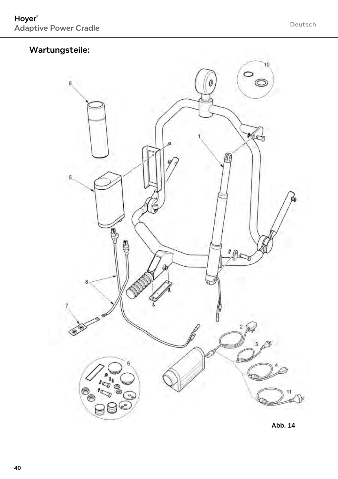#### Wartungsteile:

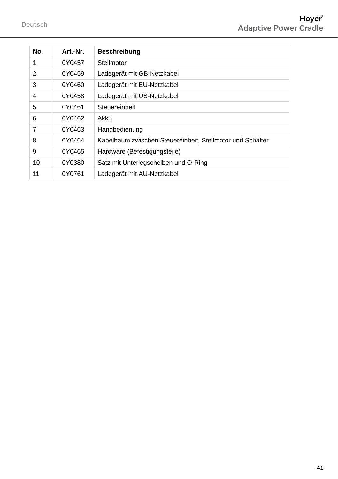| No. | Art -Nr. | <b>Beschreibung</b>                                       |
|-----|----------|-----------------------------------------------------------|
| 1   | 0Y0457   | Stellmotor                                                |
| 2   | 0Y0459   | Ladegerät mit GB-Netzkabel                                |
| 3   | 0Y0460   | Ladegerät mit EU-Netzkabel                                |
| 4   | 0Y0458   | Ladegerät mit US-Netzkabel                                |
| 5   | 0Y0461   | Steuereinheit                                             |
| 6   | 0Y0462   | Akku                                                      |
| 7   | 0Y0463   | Handbedienung                                             |
| 8   | 0Y0464   | Kabelbaum zwischen Steuereinheit, Stellmotor und Schalter |
| 9   | 0Y0465   | Hardware (Befestigungsteile)                              |
| 10  | 0Y0380   | Satz mit Unterlegscheiben und O-Ring                      |
| 11  | 0Y0761   | Ladegerät mit AU-Netzkabel                                |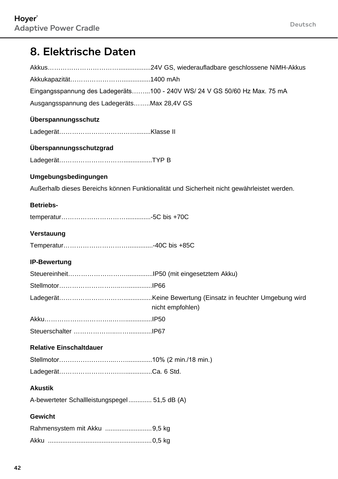### 8. Elektrische Daten

|                                               | Eingangsspannung des Ladegeräts100 - 240V WS/ 24 V GS 50/60 Hz Max. 75 mA                  |
|-----------------------------------------------|--------------------------------------------------------------------------------------------|
| Ausgangsspannung des LadegerätsMax 28,4V GS   |                                                                                            |
| Überspannungsschutz                           |                                                                                            |
|                                               |                                                                                            |
| Überspannungsschutzgrad                       |                                                                                            |
|                                               |                                                                                            |
| Umgebungsbedingungen                          |                                                                                            |
|                                               | Außerhalb dieses Bereichs können Funktionalität und Sicherheit nicht gewährleistet werden. |
| Betriebs-                                     |                                                                                            |
|                                               |                                                                                            |
| Verstauung                                    |                                                                                            |
|                                               |                                                                                            |
|                                               |                                                                                            |
| <b>IP-Bewertung</b>                           |                                                                                            |
|                                               |                                                                                            |
|                                               |                                                                                            |
|                                               | nicht empfohlen)                                                                           |
|                                               |                                                                                            |
|                                               |                                                                                            |
| <b>Relative Einschaltdauer</b>                |                                                                                            |
|                                               |                                                                                            |
|                                               |                                                                                            |
| <b>Akustik</b>                                |                                                                                            |
| A-bewerteter Schallleistungspegel 51,5 dB (A) |                                                                                            |
| Gewicht                                       |                                                                                            |
| Rahmensystem mit Akku 9,5 kg                  |                                                                                            |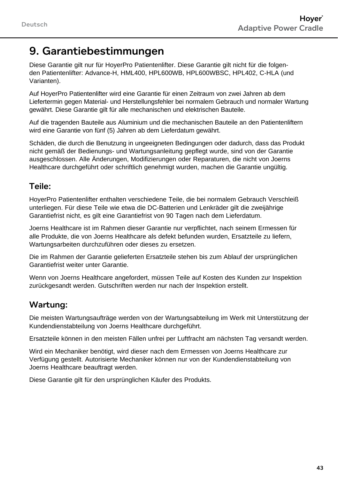#### 9. Garantiebestimmungen

Diese Garantie gilt nur für HoyerPro Patientenlifter. Diese Garantie gilt nicht für die folgenden Patientenlifter: Advance-H, HML400, HPL600WB, HPL600WBSC, HPL402, C-HLA (und Varianten).

Auf HoyerPro Patientenlifter wird eine Garantie für einen Zeitraum von zwei Jahren ab dem Liefertermin gegen Material- und Herstellungsfehler bei normalem Gebrauch und normaler Wartung gewährt. Diese Garantie gilt für alle mechanischen und elektrischen Bauteile.

Auf die tragenden Bauteile aus Aluminium und die mechanischen Bauteile an den Patientenliftern wird eine Garantie von fünf (5) Jahren ab dem Lieferdatum gewährt.

Schäden, die durch die Benutzung in ungeeigneten Bedingungen oder dadurch, dass das Produkt nicht gemäß der Bedienungs- und Wartungsanleitung gepflegt wurde, sind von der Garantie ausgeschlossen. Alle Änderungen, Modifizierungen oder Reparaturen, die nicht von Joerns Healthcare durchgeführt oder schriftlich genehmigt wurden, machen die Garantie ungültig.

#### Teile:

HoyerPro Patientenlifter enthalten verschiedene Teile, die bei normalem Gebrauch Verschleiß unterliegen. Für diese Teile wie etwa die DC-Batterien und Lenkräder gilt die zweijährige Garantiefrist nicht, es gilt eine Garantiefrist von 90 Tagen nach dem Lieferdatum.

Joerns Healthcare ist im Rahmen dieser Garantie nur verpflichtet, nach seinem Ermessen für alle Produkte, die von Joerns Healthcare als defekt befunden wurden, Ersatzteile zu liefern, Wartungsarbeiten durchzuführen oder dieses zu ersetzen.

Die im Rahmen der Garantie gelieferten Ersatzteile stehen bis zum Ablauf der ursprünglichen Garantiefrist weiter unter Garantie.

Wenn von Joerns Healthcare angefordert, müssen Teile auf Kosten des Kunden zur Inspektion zurückgesandt werden. Gutschriften werden nur nach der Inspektion erstellt.

#### Wartung:

Die meisten Wartungsaufträge werden von der Wartungsabteilung im Werk mit Unterstützung der Kundendienstabteilung von Joerns Healthcare durchgeführt.

Ersatzteile können in den meisten Fällen unfrei per Luftfracht am nächsten Tag versandt werden.

Wird ein Mechaniker benötigt, wird dieser nach dem Ermessen von Joerns Healthcare zur Verfügung gestellt. Autorisierte Mechaniker können nur von der Kundendienstabteilung von Joerns Healthcare beauftragt werden.

Diese Garantie gilt für den ursprünglichen Käufer des Produkts.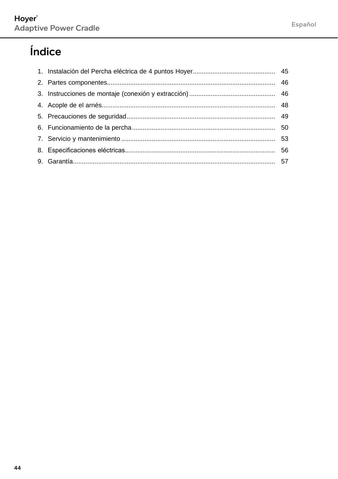# Índice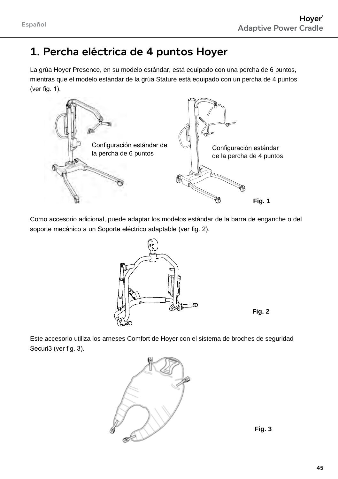### 1. Percha eléctrica de 4 puntos Hoyer

La grúa Hoyer Presence, en su modelo estándar, está equipado con una percha de 6 puntos, mientras que el modelo estándar de la grúa Stature está equipado con un percha de 4 puntos (ver fig. 1).



Como accesorio adicional, puede adaptar los modelos estándar de la barra de enganche o del soporte mecánico a un Soporte eléctrico adaptable (ver fig. 2).



**Fig. 2**

Este accesorio utiliza los arneses Comfort de Hoyer con el sistema de broches de seguridad Securi3 (ver fig. 3).



**Fig. 3**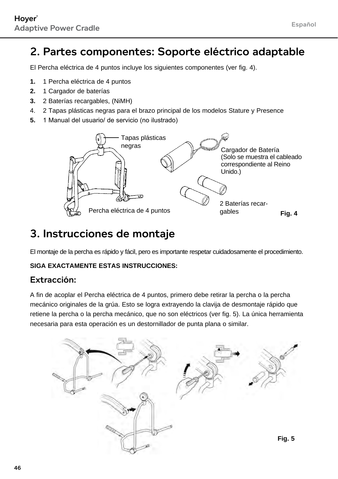#### 2. Partes componentes: Soporte eléctrico adaptable

El Percha eléctrica de 4 puntos incluye los siguientes componentes (ver fig. 4).

- **1.** 1 Percha eléctrica de 4 puntos
- **2.** 1 Cargador de baterías
- **3.** 2 Baterías recargables, (NiMH)
- 4. 2 Tapas plásticas negras para el brazo principal de los modelos Stature y Presence
- **5.** 1 Manual del usuario/ de servicio (no ilustrado)



#### 3. Instrucciones de montaje

El montaje de la percha es rápido y fácil, pero es importante respetar cuidadosamente el procedimiento.

#### **SIGA EXACTAMENTE ESTAS INSTRUCCIONES:**

#### Extracción:

A fin de acoplar el Percha eléctrica de 4 puntos, primero debe retirar la percha o la percha mecánico originales de la grúa. Esto se logra extrayendo la clavija de desmontaje rápido que retiene la percha o la percha mecánico, que no son eléctricos (ver fig. 5). La única herramienta necesaria para esta operación es un destornillador de punta plana o similar.

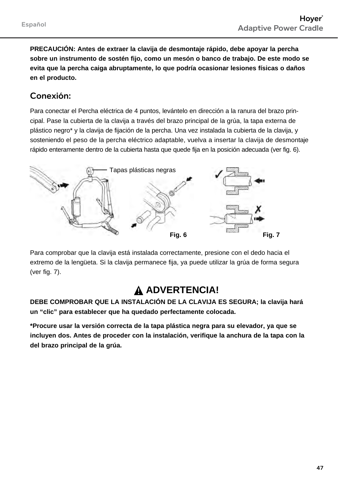**PRECAUCIÓN: Antes de extraer la clavija de desmontaje rápido, debe apoyar la percha sobre un instrumento de sostén fijo, como un mesón o banco de trabajo. De este modo se evita que la percha caiga abruptamente, lo que podría ocasionar lesiones físicas o daños en el producto.** 

#### Conexión:

Para conectar el Percha eléctrica de 4 puntos, levántelo en dirección a la ranura del brazo principal. Pase la cubierta de la clavija a través del brazo principal de la grúa, la tapa externa de plástico negro\* y la clavija de fijación de la percha. Una vez instalada la cubierta de la clavija, y sosteniendo el peso de la percha eléctrico adaptable, vuelva a insertar la clavija de desmontaje rápido enteramente dentro de la cubierta hasta que quede fija en la posición adecuada (ver fig. 6).



Para comprobar que la clavija está instalada correctamente, presione con el dedo hacia el extremo de la lengüeta. Si la clavija permanece fija, ya puede utilizar la grúa de forma segura (ver fig. 7).

#### **ADVERTENCIA!**

**DEBE COMPROBAR QUE LA INSTALACIÓN DE LA CLAVIJA ES SEGURA; la clavija hará un "clic" para establecer que ha quedado perfectamente colocada.**

**\*Procure usar la versión correcta de la tapa plástica negra para su elevador, ya que se incluyen dos. Antes de proceder con la instalación, verifique la anchura de la tapa con la del brazo principal de la grúa.**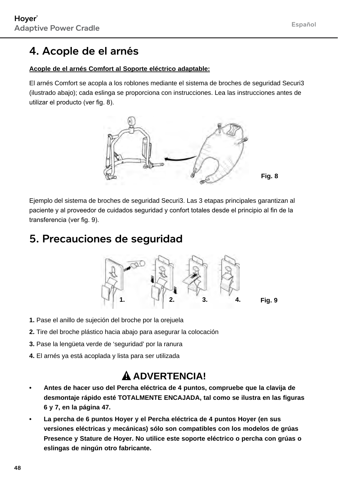# 4. Acople de el arnés

#### **Acople de el arnés Comfort al Soporte eléctrico adaptable:**

El arnés Comfort se acopla a los roblones mediante el sistema de broches de seguridad Securi3 (ilustrado abajo); cada eslinga se proporciona con instrucciones. Lea las instrucciones antes de utilizar el producto (ver fig. 8).



Ejemplo del sistema de broches de seguridad Securi3. Las 3 etapas principales garantizan al paciente y al proveedor de cuidados seguridad y confort totales desde el principio al fin de la transferencia (ver fig. 9).

#### 5. Precauciones de seguridad



- **1.** Pase el anillo de sujeción del broche por la orejuela
- **2.** Tire del broche plástico hacia abajo para asegurar la colocación
- **3.** Pase la lengüeta verde de 'seguridad' por la ranura
- **4.** El arnés ya está acoplada y lista para ser utilizada

### **ADVERTENCIA!**

- **• Antes de hacer uso del Percha eléctrica de 4 puntos, compruebe que la clavija de desmontaje rápido esté TOTALMENTE ENCAJADA, tal como se ilustra en las figuras 6 y 7, en la página 47.**
- **• La percha de 6 puntos Hoyer y el Percha eléctrica de 4 puntos Hoyer (en sus versiones eléctricas y mecánicas) sólo son compatibles con los modelos de grúas Presence y Stature de Hoyer. No utilice este soporte eléctrico o percha con grúas o eslingas de ningún otro fabricante.**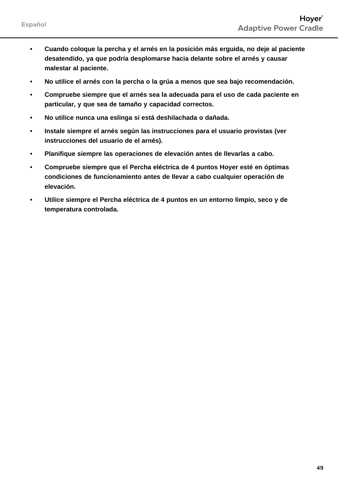- **• Cuando coloque la percha y el arnés en la posición más erguida, no deje al paciente desatendido, ya que podría desplomarse hacia delante sobre el arnés y causar malestar al paciente.**
- **• No utilice el arnés con la percha o la grúa a menos que sea bajo recomendación.**
- **• Compruebe siempre que el arnés sea la adecuada para el uso de cada paciente en particular, y que sea de tamaño y capacidad correctos.**
- **• No utilice nunca una eslinga si está deshilachada o dañada.**
- **• Instale siempre el arnés según las instrucciones para el usuario provistas (ver instrucciones del usuario de el arnés).**
- **• Planifique siempre las operaciones de elevación antes de llevarlas a cabo.**
- **• Compruebe siempre que el Percha eléctrica de 4 puntos Hoyer esté en óptimas condiciones de funcionamiento antes de llevar a cabo cualquier operación de elevación.**
- **• Utilice siempre el Percha eléctrica de 4 puntos en un entorno limpio, seco y de temperatura controlada.**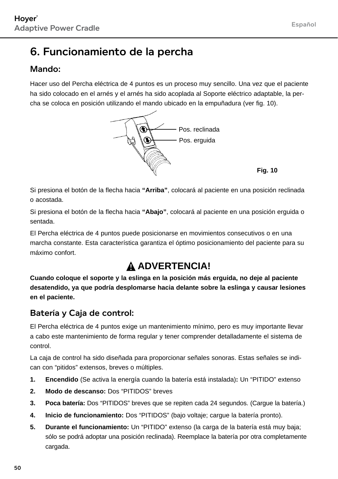## 6. Funcionamiento de la percha

#### Mando<sup>.</sup>

Hacer uso del Percha eléctrica de 4 puntos es un proceso muy sencillo. Una vez que el paciente ha sido colocado en el arnés y el arnés ha sido acoplada al Soporte eléctrico adaptable, la percha se coloca en posición utilizando el mando ubicado en la empuñadura (ver fig. 10).



**Fig. 10**

Si presiona el botón de la flecha hacia **"Arriba"**, colocará al paciente en una posición reclinada o acostada.

Si presiona el botón de la flecha hacia **"Abajo"**, colocará al paciente en una posición erguida o sentada.

El Percha eléctrica de 4 puntos puede posicionarse en movimientos consecutivos o en una marcha constante. Esta característica garantiza el óptimo posicionamiento del paciente para su máximo confort.

### **ADVERTENCIA!**

**Cuando coloque el soporte y la eslinga en la posición más erguida, no deje al paciente desatendido, ya que podría desplomarse hacia delante sobre la eslinga y causar lesiones en el paciente.**

#### Batería y Caja de control:

El Percha eléctrica de 4 puntos exige un mantenimiento mínimo, pero es muy importante llevar a cabo este mantenimiento de forma regular y tener comprender detalladamente el sistema de control.

La caja de control ha sido diseñada para proporcionar señales sonoras. Estas señales se indican con "pitidos" extensos, breves o múltiples.

- **1. Encendido** (Se activa la energía cuando la batería está instalada)**:** Un "PITIDO" extenso
- **2. Modo de descanso:** Dos "PITIDOS" breves
- **3. Poca batería:** Dos "PITIDOS" breves que se repiten cada 24 segundos. (Cargue la batería.)
- **4. Inicio de funcionamiento:** Dos "PITIDOS" (bajo voltaje; cargue la batería pronto).
- **5. Durante el funcionamiento:** Un "PITIDO" extenso (la carga de la batería está muy baja; sólo se podrá adoptar una posición reclinada). Reemplace la batería por otra completamente cargada.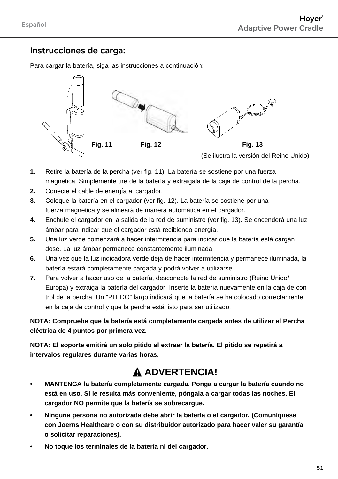#### Instrucciones de carga:

Para cargar la batería, siga las instrucciones a continuación:



- **1.** Retire la batería de la percha (ver fig. 11). La batería se sostiene por una fuerza magnética. Simplemente tire de la batería y extráigala de la caja de control de la percha.
- **2.** Conecte el cable de energía al cargador.
- **3.** Coloque la batería en el cargador (ver fig. 12). La batería se sostiene por una fuerza magnética y se alineará de manera automática en el cargador.
- **4.** Enchufe el cargador en la salida de la red de suministro (ver fig. 13). Se encenderá una luz ámbar para indicar que el cargador está recibiendo energía.
- **5.** Una luz verde comenzará a hacer intermitencia para indicar que la batería está cargán dose. La luz ámbar permanece constantemente iluminada.
- **6.** Una vez que la luz indicadora verde deja de hacer intermitencia y permanece iluminada, la batería estará completamente cargada y podrá volver a utilizarse.
- **7.** Para volver a hacer uso de la batería, desconecte la red de suministro (Reino Unido/ Europa) y extraiga la batería del cargador. Inserte la batería nuevamente en la caja de con trol de la percha. Un "PITIDO" largo indicará que la batería se ha colocado correctamente en la caja de control y que la percha está listo para ser utilizado.

**NOTA: Compruebe que la batería está completamente cargada antes de utilizar el Percha eléctrica de 4 puntos por primera vez.**

**NOTA: El soporte emitirá un solo pitido al extraer la batería. El pitido se repetirá a intervalos regulares durante varias horas.**

#### **ADVERTENCIA!**

- **• MANTENGA la batería completamente cargada. Ponga a cargar la batería cuando no está en uso. Si le resulta más conveniente, póngala a cargar todas las noches. El cargador NO permite que la batería se sobrecargue.**
- **• Ninguna persona no autorizada debe abrir la batería o el cargador. (Comuníquese con Joerns Healthcare o con su distribuidor autorizado para hacer valer su garantía o solicitar reparaciones).**
- **• No toque los terminales de la batería ni del cargador.**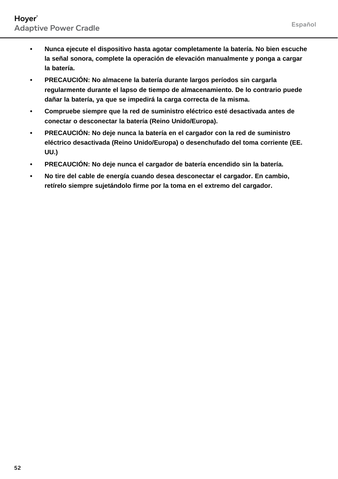- **• Nunca ejecute el dispositivo hasta agotar completamente la batería. No bien escuche la señal sonora, complete la operación de elevación manualmente y ponga a cargar la batería.**
- **• PRECAUCIÓN: No almacene la batería durante largos períodos sin cargarla regularmente durante el lapso de tiempo de almacenamiento. De lo contrario puede dañar la batería, ya que se impedirá la carga correcta de la misma.**
- **• Compruebe siempre que la red de suministro eléctrico esté desactivada antes de conectar o desconectar la batería (Reino Unido/Europa).**
- **• PRECAUCIÓN: No deje nunca la batería en el cargador con la red de suministro eléctrico desactivada (Reino Unido/Europa) o desenchufado del toma corriente (EE. UU.)**
- **• PRECAUCIÓN: No deje nunca el cargador de batería encendido sin la batería.**
- **• No tire del cable de energía cuando desea desconectar el cargador. En cambio, retírelo siempre sujetándolo firme por la toma en el extremo del cargador.**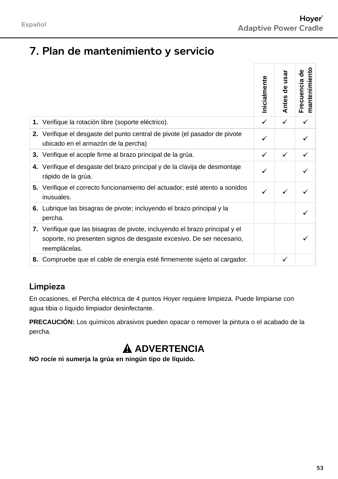# 7. Plan de mantenimiento y servicio

|                                                                                                                                                                      | Inicialmente | usar<br>కి<br><b>Antes</b> | mantenimiento<br>응<br>Frecuencia |
|----------------------------------------------------------------------------------------------------------------------------------------------------------------------|--------------|----------------------------|----------------------------------|
| 1. Verifique la rotación libre (soporte eléctrico).                                                                                                                  | ✓            | ✓                          | ✓                                |
| 2. Verifique el desgaste del punto central de pivote (el pasador de pivote<br>ubicado en el armazón de la percha)                                                    |              |                            |                                  |
| 3. Verifique el acople firme al brazo principal de la grúa.                                                                                                          | ✓            | ✓                          |                                  |
| 4. Verifique el desgaste del brazo principal y de la clavija de desmontaje<br>rápido de la grúa.                                                                     |              |                            |                                  |
| 5. Verifique el correcto funcionamiento del actuador; esté atento a sonidos<br>inusuales.                                                                            |              |                            |                                  |
| 6. Lubrique las bisagras de pivote; incluyendo el brazo principal y la<br>percha.                                                                                    |              |                            |                                  |
| 7. Verifique que las bisagras de pivote, incluyendo el brazo principal y el<br>soporte, no presenten signos de desgaste excesivo. De ser necesario,<br>reemplácelas. |              |                            |                                  |
| 8. Compruebe que el cable de energía esté firmemente sujeto al cargador.                                                                                             |              | ✓                          |                                  |

#### Limpieza

En ocasiones, el Percha eléctrica de 4 puntos Hoyer requiere limpieza. Puede limpiarse con agua tibia o líquido limpiador desinfectante.

**PRECAUCIÓN:** Los químicos abrasivos pueden opacar o remover la pintura o el acabado de la percha.

# **ADVERTENCIA**

**NO rocíe ni sumerja la grúa en ningún tipo de líquido.**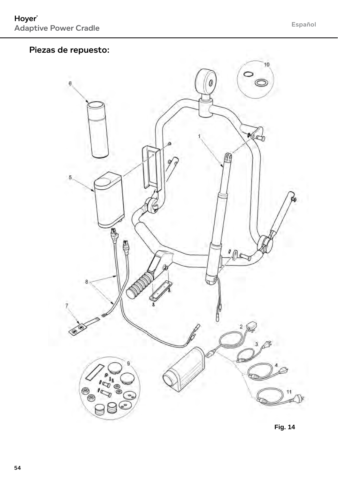#### Piezas de repuesto:

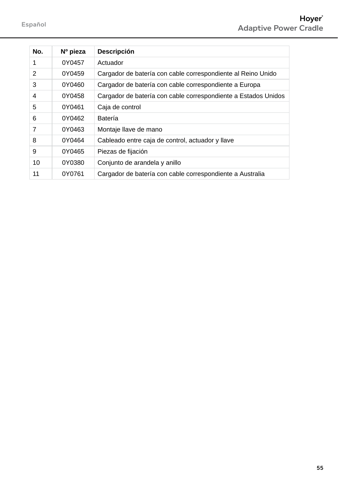| No. | Nº pieza | <b>Descripción</b>                                             |
|-----|----------|----------------------------------------------------------------|
| 1   | 0Y0457   | Actuador                                                       |
| 2   | 0Y0459   | Cargador de batería con cable correspondiente al Reino Unido   |
| 3   | 0Y0460   | Cargador de batería con cable correspondiente a Europa         |
| 4   | 0Y0458   | Cargador de batería con cable correspondiente a Estados Unidos |
| 5   | 0Y0461   | Caja de control                                                |
| 6   | 0Y0462   | Batería                                                        |
| 7   | 0Y0463   | Montaje llave de mano                                          |
| 8   | 0Y0464   | Cableado entre caja de control, actuador y llave               |
| 9   | 0Y0465   | Piezas de fijación                                             |
| 10  | 0Y0380   | Conjunto de arandela y anillo                                  |
| 11  | 0Y0761   | Cargador de batería con cable correspondiente a Australia      |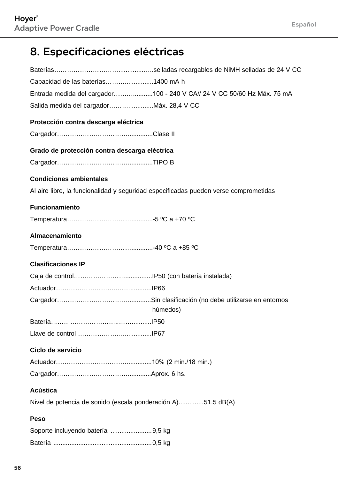# 8. Especificaciones eléctricas

| Capacidad de las baterías1400 mA h                                                   |
|--------------------------------------------------------------------------------------|
| Entrada medida del cargador100 - 240 V CA// 24 V CC 50/60 Hz Máx. 75 mA              |
| Salida medida del cargador Máx. 28,4 V CC                                            |
| Protección contra descarga eléctrica                                                 |
|                                                                                      |
| Grado de protección contra descarga eléctrica                                        |
|                                                                                      |
| <b>Condiciones ambientales</b>                                                       |
| Al aire libre, la funcionalidad y seguridad especificadas pueden verse comprometidas |
| <b>Funcionamiento</b>                                                                |
|                                                                                      |
| Almacenamiento                                                                       |
|                                                                                      |
| <b>Clasificaciones IP</b>                                                            |
|                                                                                      |
|                                                                                      |
| húmedos)                                                                             |
|                                                                                      |
|                                                                                      |
| Ciclo de servicio                                                                    |
|                                                                                      |
|                                                                                      |
| Acústica                                                                             |
| Nivel de potencia de sonido (escala ponderación A)51.5 dB(A)                         |
| Peso                                                                                 |
| Soporte incluyendo batería 9,5 kg                                                    |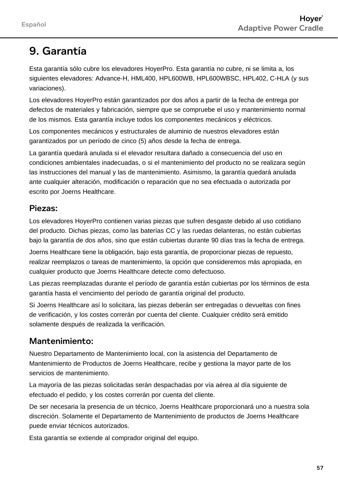### 9. Garantía

Esta garantía sólo cubre los elevadores HoyerPro. Esta garantía no cubre, ni se limita a, los siguientes elevadores: Advance-H, HML400, HPL600WB, HPL600WBSC, HPL402, C-HLA (y sus variaciones).

Los elevadores HoyerPro están garantizados por dos años a partir de la fecha de entrega por defectos de materiales y fabricación, siempre que se compruebe el uso y mantenimiento normal de los mismos. Esta garantía incluye todos los componentes mecánicos y eléctricos.

Los componentes mecánicos y estructurales de aluminio de nuestros elevadores están garantizados por un período de cinco (5) años desde la fecha de entrega.

La garantía quedará anulada si el elevador resultara dañado a consecuencia del uso en condiciones ambientales inadecuadas, o si el mantenimiento del producto no se realizara según las instrucciones del manual y las de mantenimiento. Asimismo, la garantía quedará anulada ante cualquier alteración, modificación o reparación que no sea efectuada o autorizada por escrito por Joerns Healthcare.

#### Piezas:

Los elevadores HoyerPro contienen varias piezas que sufren desgaste debido al uso cotidiano del producto. Dichas piezas, como las baterías CC y las ruedas delanteras, no están cubiertas bajo la garantía de dos años, sino que están cubiertas durante 90 días tras la fecha de entrega.

Joerns Healthcare tiene la obligación, bajo esta garantía, de proporcionar piezas de repuesto, realizar reemplazos o tareas de mantenimiento, la opción que consideremos más apropiada, en cualquier producto que Joerns Healthcare detecte como defectuoso.

Las piezas reemplazadas durante el período de garantía están cubiertas por los términos de esta garantía hasta el vencimiento del período de garantía original del producto.

Si Joerns Healthcare así lo solicitara, las piezas deberán ser entregadas o devueltas con fines de verificación, y los costes correrán por cuenta del cliente. Cualquier crédito será emitido solamente después de realizada la verificación.

#### Mantenimiento:

Nuestro Departamento de Mantenimiento local, con la asistencia del Departamento de Mantenimiento de Productos de Joerns Healthcare, recibe y gestiona la mayor parte de los servicios de mantenimiento.

La mayoría de las piezas solicitadas serán despachadas por vía aérea al día siguiente de efectuado el pedido, y los costes correrán por cuenta del cliente.

De ser necesaria la presencia de un técnico, Joerns Healthcare proporcionará uno a nuestra sola discreción. Solamente el Departamento de Mantenimiento de productos de Joerns Healthcare puede enviar técnicos autorizados.

Esta garantía se extiende al comprador original del equipo.